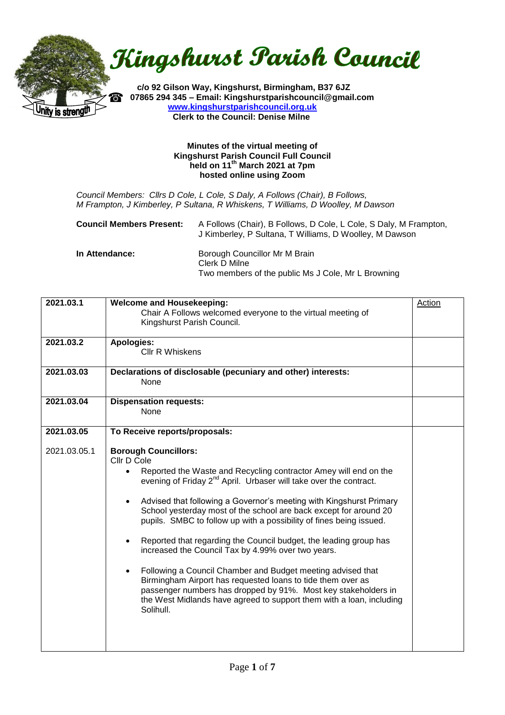nity is strengü

Kingshurst Parish Council

 **c/o 92 Gilson Way, Kingshurst, Birmingham, B37 6JZ 07865 294 345 – Email: Kingshurstparishcouncil@gmail.com [www.kingshurstparishcouncil.org.uk](http://www.kingshurstparishcouncil.org.uk/) Clerk to the Council: Denise Milne** 

#### **Minutes of the virtual meeting of Kingshurst Parish Council Full Council held on 11th March 2021 at 7pm hosted online using Zoom**

*Council Members: Cllrs D Cole, L Cole, S Daly, A Follows (Chair), B Follows, M Frampton, J Kimberley, P Sultana, R Whiskens, T Williams, D Woolley, M Dawson*

| <b>Council Members Present:</b> | A Follows (Chair), B Follows, D Cole, L Cole, S Daly, M Frampton,<br>J Kimberley, P Sultana, T Williams, D Woolley, M Dawson |
|---------------------------------|------------------------------------------------------------------------------------------------------------------------------|
|                                 |                                                                                                                              |

| In Attendance: | Borough Councillor Mr M Brain                      |
|----------------|----------------------------------------------------|
|                | Clerk D Milne                                      |
|                | Two members of the public Ms J Cole, Mr L Browning |

| 2021.03.1    | <b>Welcome and Housekeeping:</b><br>Chair A Follows welcomed everyone to the virtual meeting of<br>Kingshurst Parish Council.                                                                                                                                                                                                                                                                                                                                                                                                                                                                                                                                                                                                                                                                                                                                                          | Action |
|--------------|----------------------------------------------------------------------------------------------------------------------------------------------------------------------------------------------------------------------------------------------------------------------------------------------------------------------------------------------------------------------------------------------------------------------------------------------------------------------------------------------------------------------------------------------------------------------------------------------------------------------------------------------------------------------------------------------------------------------------------------------------------------------------------------------------------------------------------------------------------------------------------------|--------|
| 2021.03.2    | <b>Apologies:</b><br><b>CIIr R Whiskens</b>                                                                                                                                                                                                                                                                                                                                                                                                                                                                                                                                                                                                                                                                                                                                                                                                                                            |        |
| 2021.03.03   | Declarations of disclosable (pecuniary and other) interests:<br>None                                                                                                                                                                                                                                                                                                                                                                                                                                                                                                                                                                                                                                                                                                                                                                                                                   |        |
| 2021.03.04   | <b>Dispensation requests:</b><br>None                                                                                                                                                                                                                                                                                                                                                                                                                                                                                                                                                                                                                                                                                                                                                                                                                                                  |        |
| 2021.03.05   | To Receive reports/proposals:                                                                                                                                                                                                                                                                                                                                                                                                                                                                                                                                                                                                                                                                                                                                                                                                                                                          |        |
| 2021.03.05.1 | <b>Borough Councillors:</b><br>Cllr D Cole<br>Reported the Waste and Recycling contractor Amey will end on the<br>$\bullet$<br>evening of Friday 2 <sup>nd</sup> April. Urbaser will take over the contract.<br>Advised that following a Governor's meeting with Kingshurst Primary<br>$\bullet$<br>School yesterday most of the school are back except for around 20<br>pupils. SMBC to follow up with a possibility of fines being issued.<br>Reported that regarding the Council budget, the leading group has<br>$\bullet$<br>increased the Council Tax by 4.99% over two years.<br>Following a Council Chamber and Budget meeting advised that<br>$\bullet$<br>Birmingham Airport has requested loans to tide them over as<br>passenger numbers has dropped by 91%. Most key stakeholders in<br>the West Midlands have agreed to support them with a loan, including<br>Solihull. |        |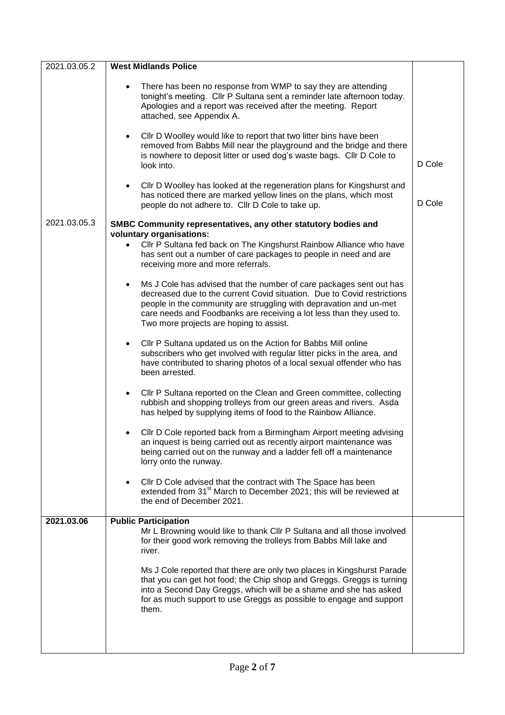| 2021.03.05.2 | <b>West Midlands Police</b>                                                                                                                                                                                                                                                                                                                          |        |
|--------------|------------------------------------------------------------------------------------------------------------------------------------------------------------------------------------------------------------------------------------------------------------------------------------------------------------------------------------------------------|--------|
|              | There has been no response from WMP to say they are attending<br>$\bullet$<br>tonight's meeting. Cllr P Sultana sent a reminder late afternoon today.<br>Apologies and a report was received after the meeting. Report<br>attached, see Appendix A.                                                                                                  |        |
|              | CIIr D Woolley would like to report that two litter bins have been<br>$\bullet$<br>removed from Babbs Mill near the playground and the bridge and there<br>is nowhere to deposit litter or used dog's waste bags. Cllr D Cole to<br>look into.                                                                                                       | D Cole |
|              | CIIr D Woolley has looked at the regeneration plans for Kingshurst and<br>$\bullet$<br>has noticed there are marked yellow lines on the plans, which most<br>people do not adhere to. Cllr D Cole to take up.                                                                                                                                        | D Cole |
| 2021.03.05.3 | SMBC Community representatives, any other statutory bodies and                                                                                                                                                                                                                                                                                       |        |
|              | voluntary organisations:<br>Cllr P Sultana fed back on The Kingshurst Rainbow Alliance who have<br>has sent out a number of care packages to people in need and are<br>receiving more and more referrals.                                                                                                                                            |        |
|              | Ms J Cole has advised that the number of care packages sent out has<br>$\bullet$<br>decreased due to the current Covid situation. Due to Covid restrictions<br>people in the community are struggling with depravation and un-met<br>care needs and Foodbanks are receiving a lot less than they used to.<br>Two more projects are hoping to assist. |        |
|              | Cllr P Sultana updated us on the Action for Babbs Mill online<br>$\bullet$<br>subscribers who get involved with regular litter picks in the area, and<br>have contributed to sharing photos of a local sexual offender who has<br>been arrested.                                                                                                     |        |
|              | Cllr P Sultana reported on the Clean and Green committee, collecting<br>$\bullet$<br>rubbish and shopping trolleys from our green areas and rivers. Asda<br>has helped by supplying items of food to the Rainbow Alliance.                                                                                                                           |        |
|              | Cllr D Cole reported back from a Birmingham Airport meeting advising<br>$\bullet$<br>an inquest is being carried out as recently airport maintenance was<br>being carried out on the runway and a ladder fell off a maintenance<br>lorry onto the runway.                                                                                            |        |
|              | Cllr D Cole advised that the contract with The Space has been<br>$\bullet$<br>extended from 31 <sup>st</sup> March to December 2021; this will be reviewed at<br>the end of December 2021.                                                                                                                                                           |        |
| 2021.03.06   | <b>Public Participation</b><br>Mr L Browning would like to thank Cllr P Sultana and all those involved<br>for their good work removing the trolleys from Babbs Mill lake and<br>river.                                                                                                                                                               |        |
|              | Ms J Cole reported that there are only two places in Kingshurst Parade<br>that you can get hot food; the Chip shop and Greggs. Greggs is turning<br>into a Second Day Greggs, which will be a shame and she has asked<br>for as much support to use Greggs as possible to engage and support<br>them.                                                |        |
|              |                                                                                                                                                                                                                                                                                                                                                      |        |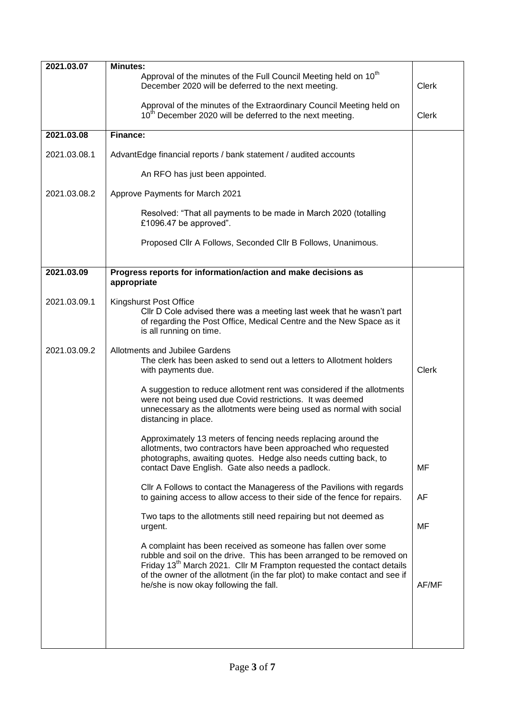| 2021.03.07   | <b>Minutes:</b>                                                                                                                                                                                                                                                                                                                                     |              |
|--------------|-----------------------------------------------------------------------------------------------------------------------------------------------------------------------------------------------------------------------------------------------------------------------------------------------------------------------------------------------------|--------------|
|              | Approval of the minutes of the Full Council Meeting held on 10 <sup>th</sup><br>December 2020 will be deferred to the next meeting.                                                                                                                                                                                                                 | <b>Clerk</b> |
|              | Approval of the minutes of the Extraordinary Council Meeting held on<br>10 <sup>th</sup> December 2020 will be deferred to the next meeting.                                                                                                                                                                                                        | <b>Clerk</b> |
| 2021.03.08   | Finance:                                                                                                                                                                                                                                                                                                                                            |              |
| 2021.03.08.1 | AdvantEdge financial reports / bank statement / audited accounts                                                                                                                                                                                                                                                                                    |              |
|              | An RFO has just been appointed.                                                                                                                                                                                                                                                                                                                     |              |
| 2021.03.08.2 | Approve Payments for March 2021                                                                                                                                                                                                                                                                                                                     |              |
|              | Resolved: "That all payments to be made in March 2020 (totalling<br>£1096.47 be approved".                                                                                                                                                                                                                                                          |              |
|              | Proposed Cllr A Follows, Seconded Cllr B Follows, Unanimous.                                                                                                                                                                                                                                                                                        |              |
| 2021.03.09   | Progress reports for information/action and make decisions as<br>appropriate                                                                                                                                                                                                                                                                        |              |
| 2021.03.09.1 | Kingshurst Post Office<br>CIIr D Cole advised there was a meeting last week that he wasn't part<br>of regarding the Post Office, Medical Centre and the New Space as it<br>is all running on time.                                                                                                                                                  |              |
| 2021.03.09.2 | Allotments and Jubilee Gardens<br>The clerk has been asked to send out a letters to Allotment holders<br>with payments due.                                                                                                                                                                                                                         | <b>Clerk</b> |
|              | A suggestion to reduce allotment rent was considered if the allotments<br>were not being used due Covid restrictions. It was deemed<br>unnecessary as the allotments were being used as normal with social<br>distancing in place.                                                                                                                  |              |
|              | Approximately 13 meters of fencing needs replacing around the<br>allotments, two contractors have been approached who requested<br>photographs, awaiting quotes. Hedge also needs cutting back, to<br>contact Dave English. Gate also needs a padlock.                                                                                              | MF           |
|              | CIIr A Follows to contact the Manageress of the Pavilions with regards<br>to gaining access to allow access to their side of the fence for repairs.                                                                                                                                                                                                 | AF           |
|              | Two taps to the allotments still need repairing but not deemed as<br>urgent.                                                                                                                                                                                                                                                                        | MF           |
|              | A complaint has been received as someone has fallen over some<br>rubble and soil on the drive. This has been arranged to be removed on<br>Friday 13 <sup>th</sup> March 2021. Cllr M Frampton requested the contact details<br>of the owner of the allotment (in the far plot) to make contact and see if<br>he/she is now okay following the fall. | AF/MF        |
|              |                                                                                                                                                                                                                                                                                                                                                     |              |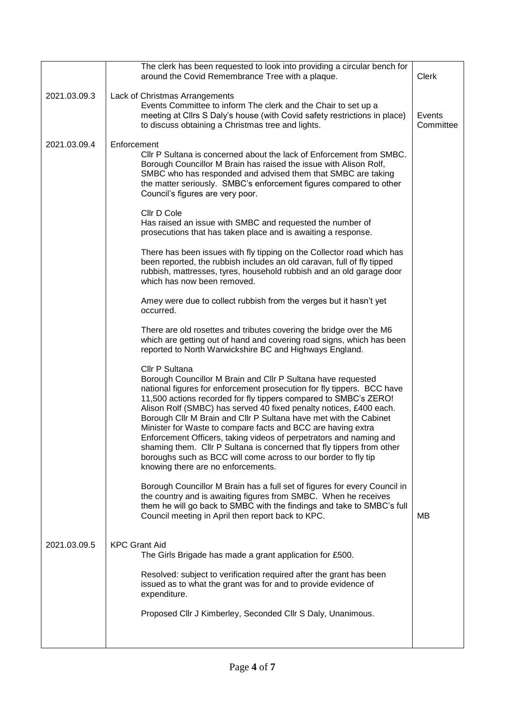|              | The clerk has been requested to look into providing a circular bench for<br>around the Covid Remembrance Tree with a plaque.                                                                                                                                                                                                                                                                                                                                                                                                                                                                                                                                                                   | <b>Clerk</b>        |
|--------------|------------------------------------------------------------------------------------------------------------------------------------------------------------------------------------------------------------------------------------------------------------------------------------------------------------------------------------------------------------------------------------------------------------------------------------------------------------------------------------------------------------------------------------------------------------------------------------------------------------------------------------------------------------------------------------------------|---------------------|
| 2021.03.09.3 | Lack of Christmas Arrangements<br>Events Committee to inform The clerk and the Chair to set up a<br>meeting at Cllrs S Daly's house (with Covid safety restrictions in place)<br>to discuss obtaining a Christmas tree and lights.                                                                                                                                                                                                                                                                                                                                                                                                                                                             | Events<br>Committee |
| 2021.03.09.4 | Enforcement<br>Cllr P Sultana is concerned about the lack of Enforcement from SMBC.<br>Borough Councillor M Brain has raised the issue with Alison Rolf,<br>SMBC who has responded and advised them that SMBC are taking<br>the matter seriously. SMBC's enforcement figures compared to other<br>Council's figures are very poor.                                                                                                                                                                                                                                                                                                                                                             |                     |
|              | Cllr D Cole<br>Has raised an issue with SMBC and requested the number of<br>prosecutions that has taken place and is awaiting a response.                                                                                                                                                                                                                                                                                                                                                                                                                                                                                                                                                      |                     |
|              | There has been issues with fly tipping on the Collector road which has<br>been reported, the rubbish includes an old caravan, full of fly tipped<br>rubbish, mattresses, tyres, household rubbish and an old garage door<br>which has now been removed.                                                                                                                                                                                                                                                                                                                                                                                                                                        |                     |
|              | Amey were due to collect rubbish from the verges but it hasn't yet<br>occurred.                                                                                                                                                                                                                                                                                                                                                                                                                                                                                                                                                                                                                |                     |
|              | There are old rosettes and tributes covering the bridge over the M6<br>which are getting out of hand and covering road signs, which has been<br>reported to North Warwickshire BC and Highways England.                                                                                                                                                                                                                                                                                                                                                                                                                                                                                        |                     |
|              | Cllr P Sultana<br>Borough Councillor M Brain and Cllr P Sultana have requested<br>national figures for enforcement prosecution for fly tippers. BCC have<br>11,500 actions recorded for fly tippers compared to SMBC's ZERO!<br>Alison Rolf (SMBC) has served 40 fixed penalty notices, £400 each.<br>Borough Cllr M Brain and Cllr P Sultana have met with the Cabinet<br>Minister for Waste to compare facts and BCC are having extra<br>Enforcement Officers, taking videos of perpetrators and naming and<br>shaming them. Cllr P Sultana is concerned that fly tippers from other<br>boroughs such as BCC will come across to our border to fly tip<br>knowing there are no enforcements. |                     |
|              | Borough Councillor M Brain has a full set of figures for every Council in<br>the country and is awaiting figures from SMBC. When he receives<br>them he will go back to SMBC with the findings and take to SMBC's full<br>Council meeting in April then report back to KPC.                                                                                                                                                                                                                                                                                                                                                                                                                    | MВ                  |
| 2021.03.09.5 | <b>KPC Grant Aid</b><br>The Girls Brigade has made a grant application for £500.<br>Resolved: subject to verification required after the grant has been<br>issued as to what the grant was for and to provide evidence of<br>expenditure.                                                                                                                                                                                                                                                                                                                                                                                                                                                      |                     |
|              | Proposed Cllr J Kimberley, Seconded Cllr S Daly, Unanimous.                                                                                                                                                                                                                                                                                                                                                                                                                                                                                                                                                                                                                                    |                     |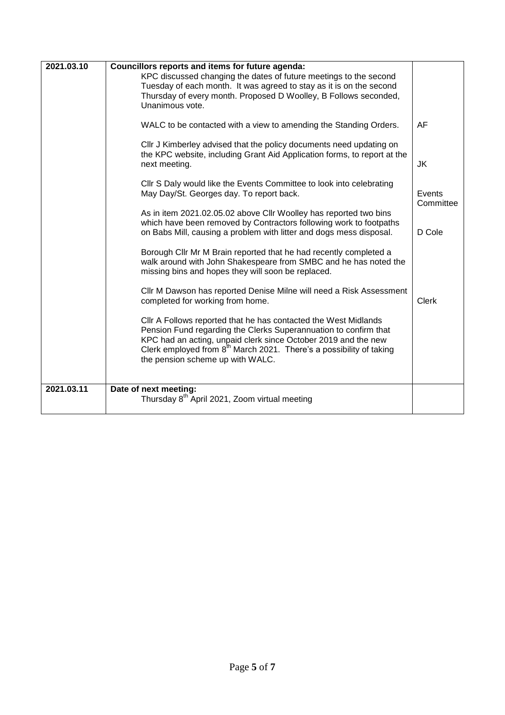| 2021.03.10 | Councillors reports and items for future agenda:<br>KPC discussed changing the dates of future meetings to the second<br>Tuesday of each month. It was agreed to stay as it is on the second<br>Thursday of every month. Proposed D Woolley, B Follows seconded,<br>Unanimous vote.                                          |                     |
|------------|------------------------------------------------------------------------------------------------------------------------------------------------------------------------------------------------------------------------------------------------------------------------------------------------------------------------------|---------------------|
|            | WALC to be contacted with a view to amending the Standing Orders.                                                                                                                                                                                                                                                            | AF                  |
|            | Cllr J Kimberley advised that the policy documents need updating on<br>the KPC website, including Grant Aid Application forms, to report at the<br>next meeting.                                                                                                                                                             | JK                  |
|            | CIIr S Daly would like the Events Committee to look into celebrating<br>May Day/St. Georges day. To report back.                                                                                                                                                                                                             | Events<br>Committee |
|            | As in item 2021.02.05.02 above Cllr Woolley has reported two bins<br>which have been removed by Contractors following work to footpaths<br>on Babs Mill, causing a problem with litter and dogs mess disposal.                                                                                                               | D Cole              |
|            | Borough Cllr Mr M Brain reported that he had recently completed a<br>walk around with John Shakespeare from SMBC and he has noted the<br>missing bins and hopes they will soon be replaced.                                                                                                                                  |                     |
|            | Cllr M Dawson has reported Denise Milne will need a Risk Assessment<br>completed for working from home.                                                                                                                                                                                                                      | <b>Clerk</b>        |
|            | Cllr A Follows reported that he has contacted the West Midlands<br>Pension Fund regarding the Clerks Superannuation to confirm that<br>KPC had an acting, unpaid clerk since October 2019 and the new<br>Clerk employed from 8 <sup>th</sup> March 2021. There's a possibility of taking<br>the pension scheme up with WALC. |                     |
| 2021.03.11 | Date of next meeting:<br>Thursday 8 <sup>th</sup> April 2021, Zoom virtual meeting                                                                                                                                                                                                                                           |                     |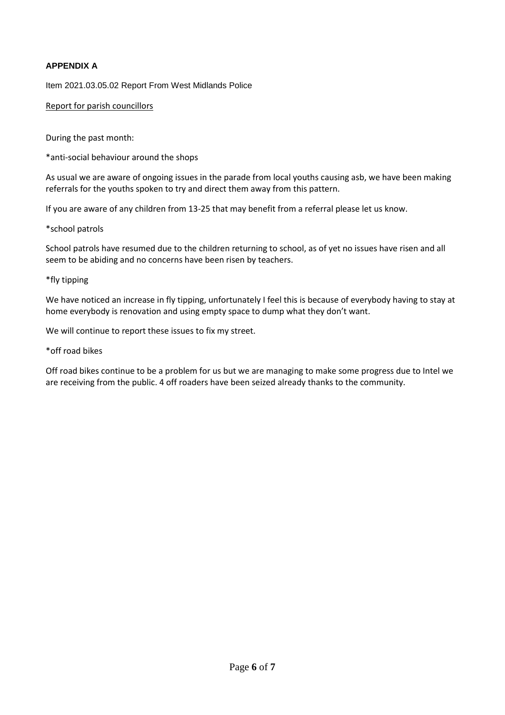# **APPENDIX A**

Item 2021.03.05.02 Report From West Midlands Police

Report for parish councillors

During the past month:

\*anti-social behaviour around the shops

As usual we are aware of ongoing issues in the parade from local youths causing asb, we have been making referrals for the youths spoken to try and direct them away from this pattern.

If you are aware of any children from 13-25 that may benefit from a referral please let us know.

\*school patrols

School patrols have resumed due to the children returning to school, as of yet no issues have risen and all seem to be abiding and no concerns have been risen by teachers.

### \*fly tipping

We have noticed an increase in fly tipping, unfortunately I feel this is because of everybody having to stay at home everybody is renovation and using empty space to dump what they don't want.

We will continue to report these issues to fix my street.

### \*off road bikes

Off road bikes continue to be a problem for us but we are managing to make some progress due to Intel we are receiving from the public. 4 off roaders have been seized already thanks to the community.